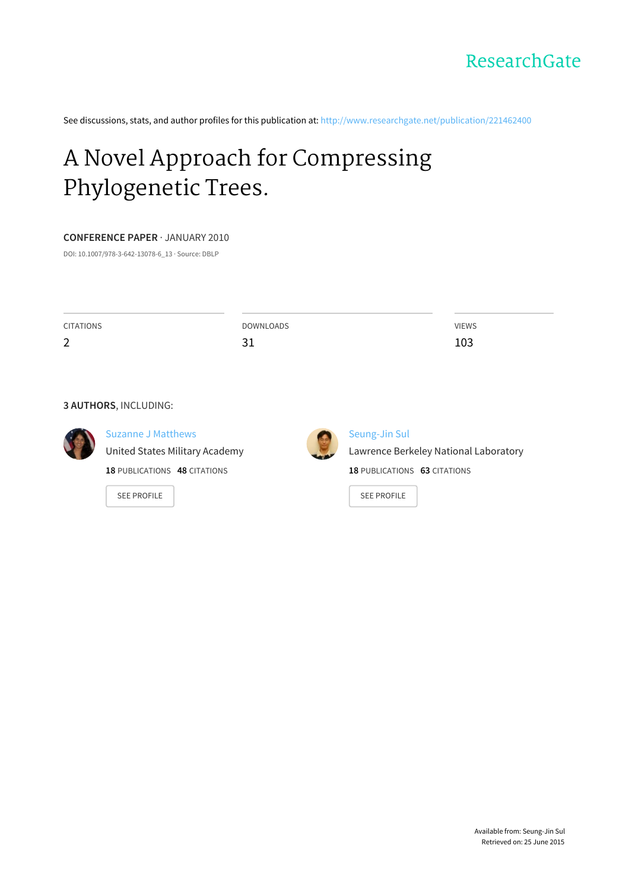

See discussions, stats, and author profiles for this publication at: [http://www.researchgate.net/publication/221462400](http://www.researchgate.net/publication/221462400_A_Novel_Approach_for_Compressing_Phylogenetic_Trees?enrichId=rgreq-aa4f3a54-1bf9-4643-9459-d42a411aeb37&enrichSource=Y292ZXJQYWdlOzIyMTQ2MjQwMDtBUzo5OTg5ODIwMDQyODU0N0AxNDAwODI4OTk1NDc4&el=1_x_2)

# A Novel Approach for [Compressing](http://www.researchgate.net/publication/221462400_A_Novel_Approach_for_Compressing_Phylogenetic_Trees?enrichId=rgreq-aa4f3a54-1bf9-4643-9459-d42a411aeb37&enrichSource=Y292ZXJQYWdlOzIyMTQ2MjQwMDtBUzo5OTg5ODIwMDQyODU0N0AxNDAwODI4OTk1NDc4&el=1_x_3) Phylogenetic Trees.

# **CONFERENCE PAPER** · JANUARY 2010

DOI: 10.1007/978-3-642-13078-6\_13 · Source: DBLP

| <b>CITATIONS</b> | DOWNLOADS | <b>VIEWS</b> |
|------------------|-----------|--------------|
| $\sim$<br>∠      | ͻ<br>ِ ب  | 103          |
|                  |           |              |

#### **3 AUTHORS**, INCLUDING:



Suzanne J [Matthews](http://www.researchgate.net/profile/Suzanne_Matthews?enrichId=rgreq-aa4f3a54-1bf9-4643-9459-d42a411aeb37&enrichSource=Y292ZXJQYWdlOzIyMTQ2MjQwMDtBUzo5OTg5ODIwMDQyODU0N0AxNDAwODI4OTk1NDc4&el=1_x_5) United States Military [Academy](http://www.researchgate.net/institution/United_States_Military_Academy?enrichId=rgreq-aa4f3a54-1bf9-4643-9459-d42a411aeb37&enrichSource=Y292ZXJQYWdlOzIyMTQ2MjQwMDtBUzo5OTg5ODIwMDQyODU0N0AxNDAwODI4OTk1NDc4&el=1_x_6)

**18** PUBLICATIONS **48** CITATIONS

SEE [PROFILE](http://www.researchgate.net/profile/Suzanne_Matthews?enrichId=rgreq-aa4f3a54-1bf9-4643-9459-d42a411aeb37&enrichSource=Y292ZXJQYWdlOzIyMTQ2MjQwMDtBUzo5OTg5ODIwMDQyODU0N0AxNDAwODI4OTk1NDc4&el=1_x_7)



# [Seung-Jin](http://www.researchgate.net/profile/Seung-Jin_Sul?enrichId=rgreq-aa4f3a54-1bf9-4643-9459-d42a411aeb37&enrichSource=Y292ZXJQYWdlOzIyMTQ2MjQwMDtBUzo5OTg5ODIwMDQyODU0N0AxNDAwODI4OTk1NDc4&el=1_x_5) Sul

Lawrence Berkeley National [Laboratory](http://www.researchgate.net/institution/Lawrence_Berkeley_National_Laboratory?enrichId=rgreq-aa4f3a54-1bf9-4643-9459-d42a411aeb37&enrichSource=Y292ZXJQYWdlOzIyMTQ2MjQwMDtBUzo5OTg5ODIwMDQyODU0N0AxNDAwODI4OTk1NDc4&el=1_x_6) **18** PUBLICATIONS **63** CITATIONS

SEE [PROFILE](http://www.researchgate.net/profile/Seung-Jin_Sul?enrichId=rgreq-aa4f3a54-1bf9-4643-9459-d42a411aeb37&enrichSource=Y292ZXJQYWdlOzIyMTQ2MjQwMDtBUzo5OTg5ODIwMDQyODU0N0AxNDAwODI4OTk1NDc4&el=1_x_7)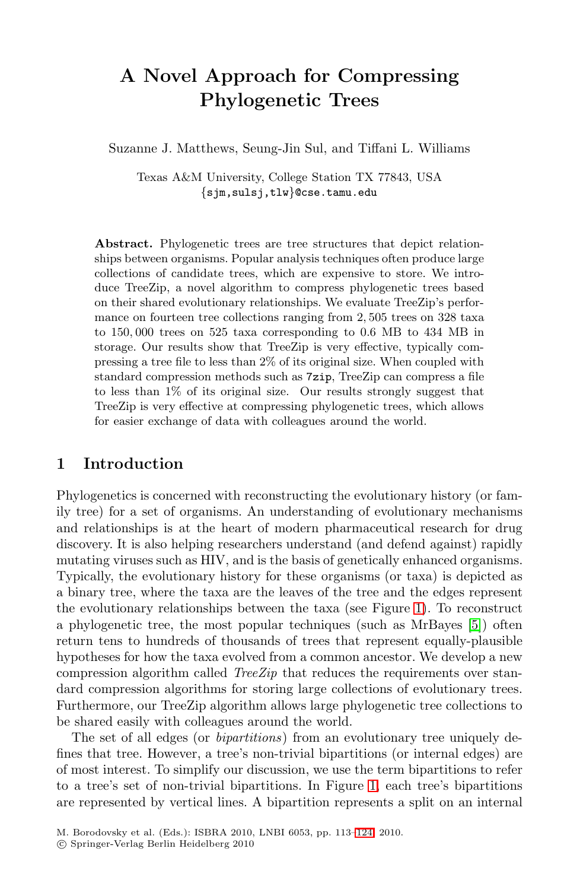# **A Novel Approach for Compressing Phylogenetic Trees**

Suzanne J. Matthews, Seung-Jin Sul, and Tiffani L. Williams

Texas A&M University, College Station TX 77843, USA *{*sjm,sulsj,tlw*}*@cse.tamu.edu

**Abstract.** Phylogenetic trees are tree structures that depict relationships between organisms. Popular analysis techniques often produce large collections of candidate trees, which are expensive to store. We introduce TreeZip, a novel algorithm to compress phylogenetic trees based on their shared evolutionary relationships. We evaluate TreeZip's performance on fourteen tree collections ranging from 2*,* 505 trees on 328 taxa to 150*,* 000 trees on 525 taxa corresponding to 0.6 MB to 434 MB in storage. Our results show that TreeZip is very effective, typically compressing a tree file to less than 2% of its original size. When coupled with standard compression methods such as 7zip, TreeZip can compress a file to less than 1% of its original size. Our results strongly suggest that TreeZip is very effective at compressing phylogenetic trees, which allows for easier exchange of data with colleagues around the world.

# **1 Introduction**

Phylogenetics is concerned with reconstructing the evolutionary history (or family tree) for a set of organisms. An understanding of evolutionary mechanisms and relationships is at the heart of modern pharmaceutical research for drug discovery. It is also helping researchers understand (and defend against) rapidly mutating viruses such as HIV, and is the basis of genetically enhanced organisms. Typically, the evolutionary history for these organisms (or taxa) is depicted as a binary tree, where the taxa are the leaves of the tree and the edges represent the evolutionary relationships between the taxa (see Figure 1). To reconstruct a phylogenetic tree, the most popular techniques (such as MrBayes [5]) often return tens to hundreds of thousands of trees that represent equally-plausible hypotheses for how the taxa evolved from a common ancestor. We develop a new compression algorithm called *TreeZip* that reduces the requirements over standard compression algorithms for storing large collections of evolutionary trees. Furthermore, our TreeZip algorithm allows large phylogenetic tree collections to be shared easily with colleagues around the world.

The set of all edges (or *bipartitions*) from an evolutionary tree uniquely defines that tree. However, a tree's non-trivial bipartitions (or internal edges) are of most interest. To simplify our discussion, we use the term bipartitions to refer to a tree's set of non-trivial bipartitions. In Figure 1, each tree's bipartitions are represented by vertical lines. A bipartition represents a split on an internal

M. Borodovsky et al. (Eds.): ISBRA 2010, LNBI 6053, pp. 113–124, 2010.

<sup>-</sup>c Springer-Verlag Berlin Heidelberg 2010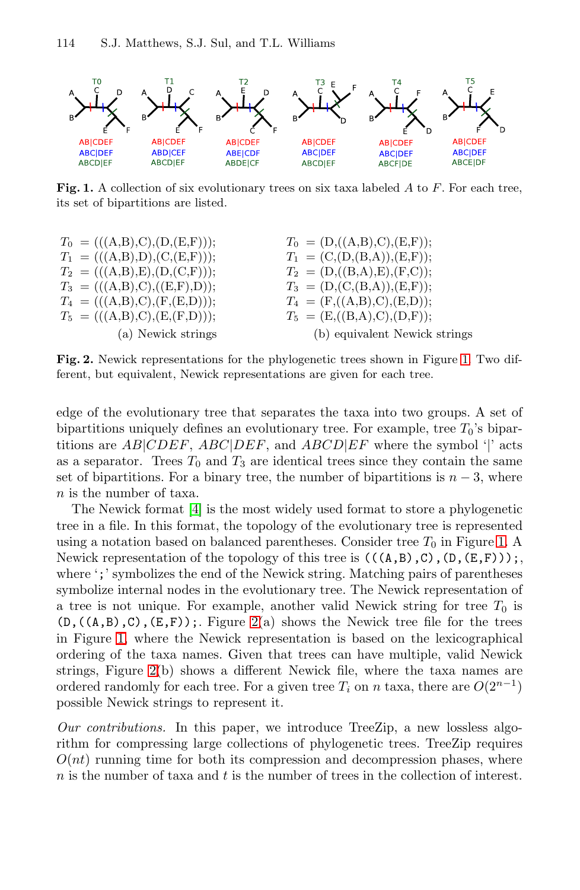#### 114 S.J. Matthews, S.J. Sul, and T.L. Williams



**Fig. 1.** A collection of six evolutionary trees on six taxa labeled *<sup>A</sup>* to *<sup>F</sup>*. For each tree, its set of bipartitions are listed.

 $T_0 = (((A,B),C), (D,(E,F)));$  $T_1$  = (((A,B),D),(C,(E,F)));  $T_2$  = (((A,B),E),(D,(C,F)));  $T_3$  = (((A,B),C),((E,F),D));  $T_4 = (((A,B),C), (F,(E,D)))$ ;  $T_5$  = (((A,B),C),(E,(F,D))); (a) Newick strings  $T_0 = (D, ((A,B),C), (E,F));$  $T_1 = (C,(D,(B,A)),(E,F));$  $T_2 = (D, ((B,A),E), (F,C));$  $T_3 = (D, (C, (B, A)), (E, F));$  $T_4 = (F, ((A,B),C), (E,D));$  $T_5 = (E, ((B,A), C), (D,F));$ (b) equivalent Newick strings

**Fig. 2.** Newick representations for the phylogenetic trees shown in Figure 1. Two different, but equivalent, Newick representations are given for each tree.

edge of the evolutionary tree that separates the taxa into two groups. A set of bipartitions uniquely defines an evolutionary tree. For example, tree  $T_0$ 's bipartitions are *AB*|*CDEF*, *ABC*|*DEF*, and *ABCD*|*EF* where the symbol '|' acts as a separator. Trees  $T_0$  and  $T_3$  are identical trees since they contain the same set of bipartitions. For a binary tree, the number of bipartitions is  $n-3$ , where *n* is the number of taxa.

The Newick format [4] is the most widely used format to store a phylogenetic tree in a file. In this format, the topology of the evolutionary tree is represented using a notation based on balanced parentheses. Consider tree  $T_0$  in Figure 1. A Newick representation of the topology of this tree is  $((A,B),C), (D,(E,F))$ ; where '; ' symbolizes the end of the Newick string. Matching pairs of parentheses symbolize internal nodes in the evolutionary tree. The Newick representation of a tree is not unique. For example, another valid Newick string for tree  $T_0$  is  $(D, ((A,B), C), (E, F))$ ;. Figure 2(a) shows the Newick tree file for the trees in Figure 1, where the Newick representation is based on the lexicographical ordering of the taxa names. Given that trees can have multiple, valid Newick strings, Figure 2(b) shows a different Newick file, where the taxa names are ordered randomly for each tree. For a given tree  $T_i$  on *n* taxa, there are  $O(2^{n-1})$ possible Newick strings to represent it.

*Our contributions.* In this paper, we introduce TreeZip, a new lossless algorithm for compressing large collections of phylogenetic trees. TreeZip requires  $O(nt)$  running time for both its compression and decompression phases, where *n* is the number of taxa and *t* is the number of trees in the collection of interest.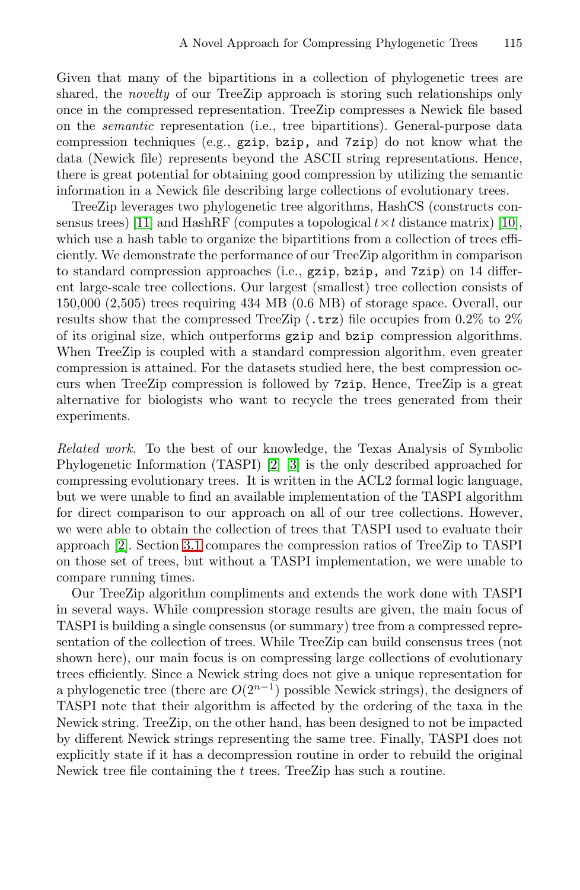Given that many of the bipartitions in a collection of phylogenetic trees are shared, the *novelty* of our TreeZip approach is storing such relationships only once in the compressed representation. TreeZip compresses a Newick file based on the *semantic* representation (i.e., tree bipartitions). General-purpose data compression techniques (e.g., gzip, bzip, and 7zip) do not know what the data (Newick file) represents beyond the ASCII string representations. Hence, there is great potential for obtaining good compression by utilizing the semantic information in a Newick file describing large collections of evolutionary trees.

TreeZip leverages two phylogenetic tree algorithms, HashCS (constructs consensus trees) [11] and HashRF (computes a topological  $t \times t$  distance matrix) [10], which use a hash table to organize the bipartitions from a collection of trees efficiently. We demonstrate the performance of our TreeZip algorithm in comparison to standard compression approaches (i.e., gzip, bzip, and 7zip) on 14 different large-scale tree collections. Our largest (smallest) tree collection consists of 150,000 (2,505) trees requiring 434 MB (0.6 MB) of storage space. Overall, our results show that the compressed TreeZip  $( .trz)$  file occupies from 0.2% to 2% of its original size, which outperforms gzip and bzip compression algorithms. When TreeZip is coupled with a standard compression algorithm, even greater compression is attained. For the datasets studied here, the best compression occurs when TreeZip compression is followed by 7zip. Hence, TreeZip is a great alternative for biologists who want to recycle the trees generated from their experiments.

*Related work.* To the best of our knowledge, the Texas Analysis of Symbolic Phylogenetic Information (TASPI) [2] [3] is the only described approached for compressing evolutionary trees. It is written in the ACL2 formal logic language, but we were unable to find an available implementation of the TASPI algorithm for direct comparison to our approach on all of our tree collections. However, we were able to obtain the collection of trees that TASPI used to evaluate their approach [2]. Section 3.1 compares the compression ratios of TreeZip to TASPI on those set of trees, but without a TASPI implementation, we were unable to compare running times.

Our TreeZip algorithm compliments and extends the work done with TASPI in several ways. While compression storage results are given, the main focus of TASPI is building a single consensus (or summary) tree from a compressed representation of the collection of trees. While TreeZip can build consensus trees (not shown here), our main focus is on compressing large collections of evolutionary trees efficiently. Since a Newick string does not give a unique representation for a phylogenetic tree (there are *O*(2*<sup>n</sup>*−<sup>1</sup>) possible Newick strings), the designers of TASPI note that their algorithm is affected by the ordering of the taxa in the Newick string. TreeZip, on the other hand, has been designed to not be impacted by different Newick strings representing the same tree. Finally, TASPI does not explicitly state if it has a decompression routine in order to rebuild the original Newick tree file containing the *t* trees. TreeZip has such a routine.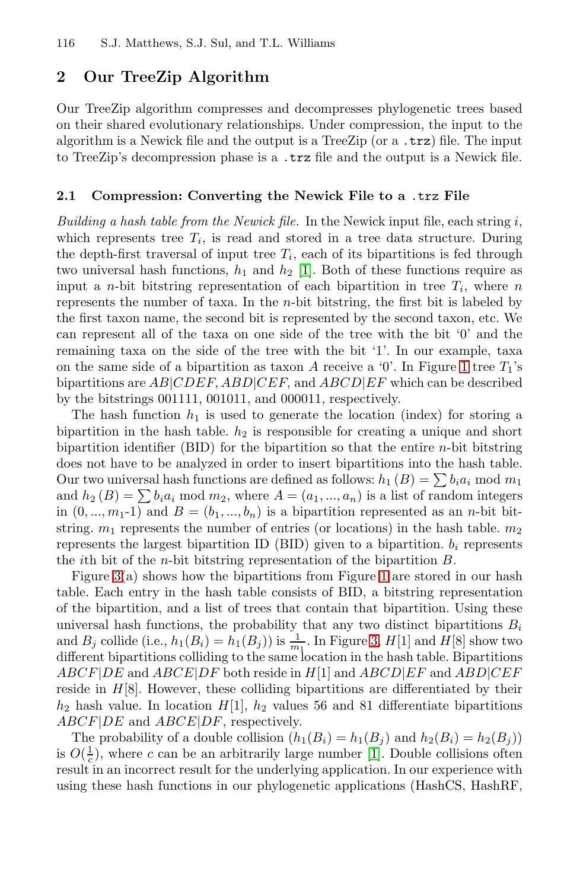# **2 Our TreeZip Algorithm**

Our TreeZip algorithm compresses and decompresses phylogenetic trees based on their shared evolutionary relationships. Under compression, the input to the algorithm is a Newick file and the output is a TreeZip (or  $\alpha$  .trz) file. The input to TreeZip's decompression phase is a .trz file and the output is a Newick file.

#### **2.1 Compression: Converting the Newick File to a** .trz **File**

*Building a hash table from the Newick file.* In the Newick input file, each string *i*, which represents tree  $T_i$ , is read and stored in a tree data structure. During the depth-first traversal of input tree  $T_i$ , each of its bipartitions is fed through two universal hash functions,  $h_1$  and  $h_2$  [1]. Both of these functions require as input a *n*-bit bitstring representation of each bipartition in tree  $T_i$ , where *n* represents the number of taxa. In the *n*-bit bitstring, the first bit is labeled by the first taxon name, the second bit is represented by the second taxon, etc. We can represent all of the taxa on one side of the tree with the bit '0' and the remaining taxa on the side of the tree with the bit '1'. In our example, taxa on the same side of a bipartition as taxon *A* receive a '0'. In Figure 1 tree  $T_1$ 's bipartitions are *AB*|*CDEF, ABD*|*CEF,* and *ABCD*|*EF* which can be described by the bitstrings 001111, 001011, and 000011, respectively.

The hash function  $h_1$  is used to generate the location (index) for storing a bipartition in the hash table.  $h_2$  is responsible for creating a unique and short bipartition identifier (BID) for the bipartition so that the entire *n*-bit bitstring does not have to be analyzed in order to insert bipartitions into the hash table. Our two universal hash functions are defined as follows:  $h_1(B) = \sum b_i a_i \bmod{m_1}$ and  $h_2(B) = \sum b_i a_i \mod m_2$ , where  $A = (a_1, ..., a_n)$  is a list of random integers in  $(0, ..., m_1-1)$  and  $B = (b_1, ..., b_n)$  is a bipartition represented as an *n*-bit bitstring.  $m_1$  represents the number of entries (or locations) in the hash table.  $m_2$ represents the largest bipartition ID (BID) given to a bipartition.  $b_i$  represents the *i*th bit of the *n*-bit bitstring representation of the bipartition *B*.

Figure 3(a) shows how the bipartitions from Figure 1 are stored in our hash table. Each entry in the hash table consists of BID, a bitstring representation of the bipartition, and a list of trees that contain that bipartition. Using these universal hash functions, the probability that any two distinct bipartitions *B<sup>i</sup>* and  $B_j$  collide (i.e.,  $h_1(B_i) = h_1(B_j)$ ) is  $\frac{1}{m_1}$ . In Figure 3, *H*[1] and *H*[8] show two different bipartitions colliding to the same location in the hash table. Bipartitions *ABCF*|*DE* and *ABCE*|*DF* both reside in *H*[1] and *ABCD*|*EF* and *ABD*|*CEF* reside in  $H[8]$ . However, these colliding bipartitions are differentiated by their  $h_2$  hash value. In location  $H[1]$ ,  $h_2$  values 56 and 81 differentiate bipartitions *ABCF*|*DE* and *ABCE*|*DF*, respectively.

The probability of a double collision  $(h_1(B_i) = h_1(B_i)$  and  $h_2(B_i) = h_2(B_i)$ is  $O(\frac{1}{c})$ , where *c* can be an arbitrarily large number [1]. Double collisions often result in an incorrect result for the underlying application. In our experience with using these hash functions in our phylogenetic applications (HashCS, HashRF,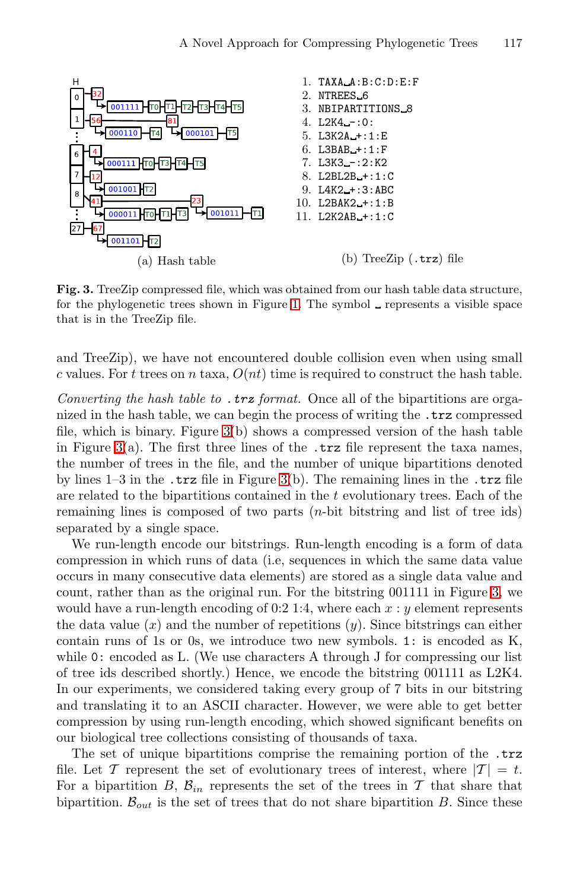

**Fig. 3.** TreeZip compressed file, which was obtained from our hash table data structure, for the phylogenetic trees shown in Figure 1. The symbol represents a visible space that is in the TreeZip file.

and TreeZip), we have not encountered double collision even when using small *c* values. For *t* trees on *n* taxa,  $O(nt)$  time is required to construct the hash table.

*Converting the hash table to .trz format.* Once all of the bipartitions are organized in the hash table, we can begin the process of writing the .trz compressed file, which is binary. Figure 3(b) shows a compressed version of the hash table in Figure  $3(a)$ . The first three lines of the .trz file represent the taxa names, the number of trees in the file, and the number of unique bipartitions denoted by lines 1–3 in the .trz file in Figure 3(b). The remaining lines in the .trz file are related to the bipartitions contained in the *t* evolutionary trees. Each of the remaining lines is composed of two parts (*n*-bit bitstring and list of tree ids) separated by a single space.

We run-length encode our bitstrings. Run-length encoding is a form of data compression in which runs of data (i.e, sequences in which the same data value occurs in many consecutive data elements) are stored as a single data value and count, rather than as the original run. For the bitstring 001111 in Figure 3, we would have a run-length encoding of 0:2 1:4, where each  $x : y$  element represents the data value  $(x)$  and the number of repetitions  $(y)$ . Since bitstrings can either contain runs of 1s or 0s, we introduce two new symbols. 1: is encoded as K, while 0: encoded as L. (We use characters A through J for compressing our list of tree ids described shortly.) Hence, we encode the bitstring 001111 as L2K4. In our experiments, we considered taking every group of 7 bits in our bitstring and translating it to an ASCII character. However, we were able to get better compression by using run-length encoding, which showed significant benefits on our biological tree collections consisting of thousands of taxa.

The set of unique bipartitions comprise the remaining portion of the .trz file. Let T represent the set of evolutionary trees of interest, where  $|T| = t$ . For a bipartition *B*,  $\mathcal{B}_{in}$  represents the set of the trees in T that share that bipartition.  $\mathcal{B}_{out}$  is the set of trees that do not share bipartition *B*. Since these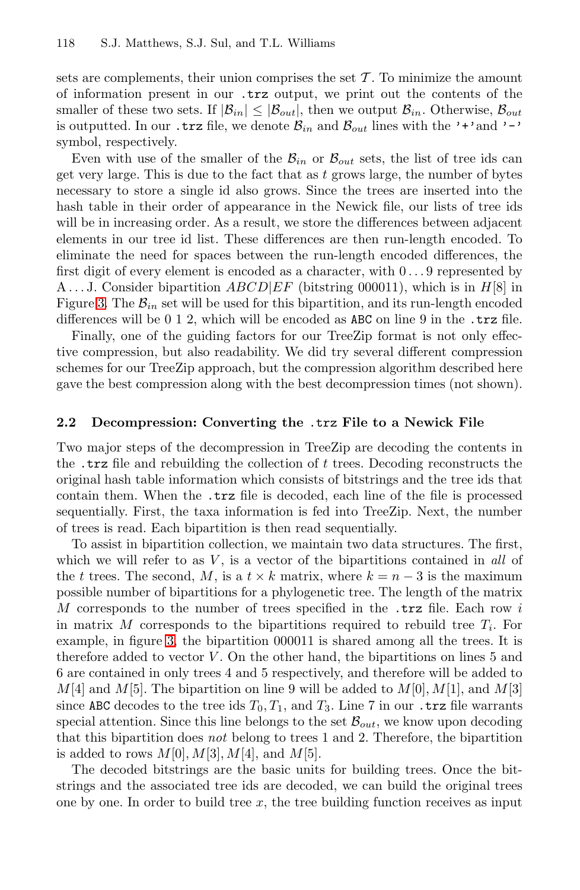#### 118 S.J. Matthews, S.J. Sul, and T.L. Williams

sets are complements, their union comprises the set  $\mathcal T$ . To minimize the amount of information present in our .trz output, we print out the contents of the smaller of these two sets. If  $|\mathcal{B}_{in}| \leq |\mathcal{B}_{out}|$ , then we output  $\mathcal{B}_{in}$ . Otherwise,  $\mathcal{B}_{out}$ is outputted. In our .trz file, we denote  $\mathcal{B}_{in}$  and  $\mathcal{B}_{out}$  lines with the '+'and '-' symbol, respectively.

Even with use of the smaller of the  $\mathcal{B}_{in}$  or  $\mathcal{B}_{out}$  sets, the list of tree ids can get very large. This is due to the fact that as *t* grows large, the number of bytes necessary to store a single id also grows. Since the trees are inserted into the hash table in their order of appearance in the Newick file, our lists of tree ids will be in increasing order. As a result, we store the differences between adjacent elements in our tree id list. These differences are then run-length encoded. To eliminate the need for spaces between the run-length encoded differences, the first digit of every element is encoded as a character, with 0 *...* 9 represented by A *...* J. Consider bipartition *ABCD*|*EF* (bitstring 000011), which is in *H*[8] in Figure 3. The  $\mathcal{B}_{in}$  set will be used for this bipartition, and its run-length encoded differences will be 0 1 2, which will be encoded as ABC on line 9 in the .trz file.

Finally, one of the guiding factors for our TreeZip format is not only effective compression, but also readability. We did try several different compression schemes for our TreeZip approach, but the compression algorithm described here gave the best compression along with the best decompression times (not shown).

#### **2.2 Decompression: Converting the** .trz **File to a Newick File**

Two major steps of the decompression in TreeZip are decoding the contents in the .trz file and rebuilding the collection of *t* trees. Decoding reconstructs the original hash table information which consists of bitstrings and the tree ids that contain them. When the .trz file is decoded, each line of the file is processed sequentially. First, the taxa information is fed into TreeZip. Next, the number of trees is read. Each bipartition is then read sequentially.

To assist in bipartition collection, we maintain two data structures. The first, which we will refer to as *V* , is a vector of the bipartitions contained in *all* of the *t* trees. The second, *M*, is a  $t \times k$  matrix, where  $k = n - 3$  is the maximum possible number of bipartitions for a phylogenetic tree. The length of the matrix *M* corresponds to the number of trees specified in the .trz file. Each row *i* in matrix *M* corresponds to the bipartitions required to rebuild tree *Ti*. For example, in figure 3, the bipartition 000011 is shared among all the trees. It is therefore added to vector  $V$ . On the other hand, the bipartitions on lines  $5$  and 6 are contained in only trees 4 and 5 respectively, and therefore will be added to  $M[4]$  and  $M[5]$ . The bipartition on line 9 will be added to  $M[0], M[1]$ , and  $M[3]$ since ABC decodes to the tree ids  $T_0, T_1$ , and  $T_3$ . Line 7 in our .trz file warrants special attention. Since this line belongs to the set B*out*, we know upon decoding that this bipartition does *not* belong to trees 1 and 2. Therefore, the bipartition is added to rows  $M[0], M[3], M[4]$ , and  $M[5]$ .

The decoded bitstrings are the basic units for building trees. Once the bitstrings and the associated tree ids are decoded, we can build the original trees one by one. In order to build tree  $x$ , the tree building function receives as input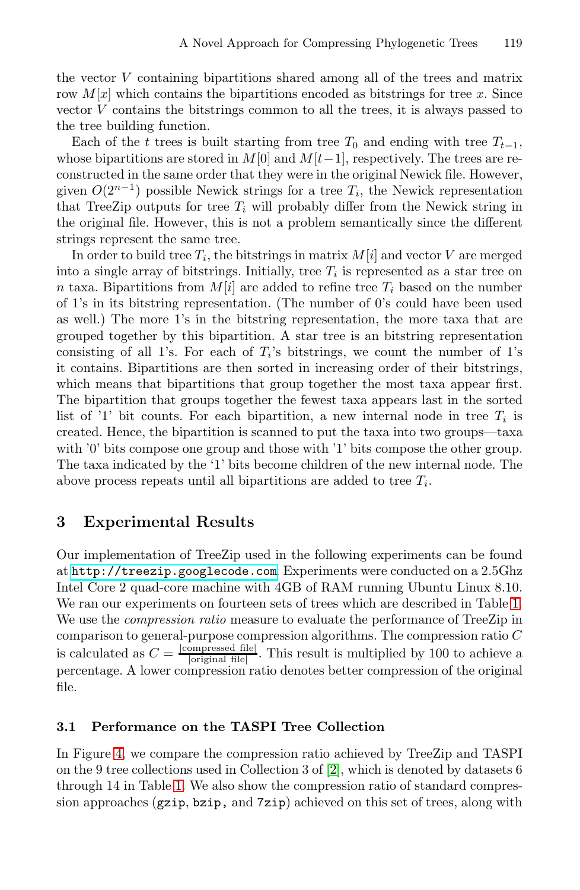the vector *V* containing bipartitions shared among all of the trees and matrix row  $M[x]$  which contains the bipartitions encoded as bitstrings for tree x. Since vector *V* contains the bitstrings common to all the trees, it is always passed to the tree building function.

Each of the *t* trees is built starting from tree  $T_0$  and ending with tree  $T_{t-1}$ , whose bipartitions are stored in  $M[0]$  and  $M[t-1]$ , respectively. The trees are reconstructed in the same order that they were in the original Newick file. However, given  $O(2^{n-1})$  possible Newick strings for a tree  $T_i$ , the Newick representation that TreeZip outputs for tree  $T_i$  will probably differ from the Newick string in the original file. However, this is not a problem semantically since the different strings represent the same tree.

In order to build tree  $T_i$ , the bitstrings in matrix  $M[i]$  and vector  $V$  are merged into a single array of bitstrings. Initially, tree  $T_i$  is represented as a star tree on *n* taxa. Bipartitions from  $M[i]$  are added to refine tree  $T_i$  based on the number of 1's in its bitstring representation. (The number of 0's could have been used as well.) The more 1's in the bitstring representation, the more taxa that are grouped together by this bipartition. A star tree is an bitstring representation consisting of all 1's. For each of  $T_i$ 's bitstrings, we count the number of 1's it contains. Bipartitions are then sorted in increasing order of their bitstrings, which means that bipartitions that group together the most taxa appear first. The bipartition that groups together the fewest taxa appears last in the sorted list of '1' bit counts. For each bipartition, a new internal node in tree  $T_i$  is created. Hence, the bipartition is scanned to put the taxa into two groups—taxa [with '0' bits compo](http://treezip.googlecode.com)se one group and those with '1' bits compose the other group. The taxa indicated by the '1' bits become children of the new internal node. The above process repeats until all bipartitions are added to tree *Ti*.

# **3 Experimental Results**

Our implementation of TreeZip used in the following experiments can be found at http://treezip.googlecode.com. Experiments were conducted on a 2.5Ghz Intel Core 2 quad-core machine with 4GB of RAM running Ubuntu Linux 8.10. We ran our experiments on fourteen sets of trees which are described in Table 1. We use the *compression ratio* measure to evaluate the performance of TreeZip in comparison to general-purpose compression algorithms. The compression ratio *C* is calculated as  $C = \frac{|compressed file|}{|original file|}$ . This result is multiplied by 100 to achieve a percentage. A lower compression ratio denotes better compression of the original file.

#### **3.1 Performance on the TASPI Tree Collection**

In Figure 4, we compare the compression ratio achieved by TreeZip and TASPI on the 9 tree collections used in Collection 3 of [2], which is denoted by datasets 6 through 14 in Table 1. We also show the compression ratio of standard compression approaches (gzip, bzip, and 7zip) achieved on this set of trees, along with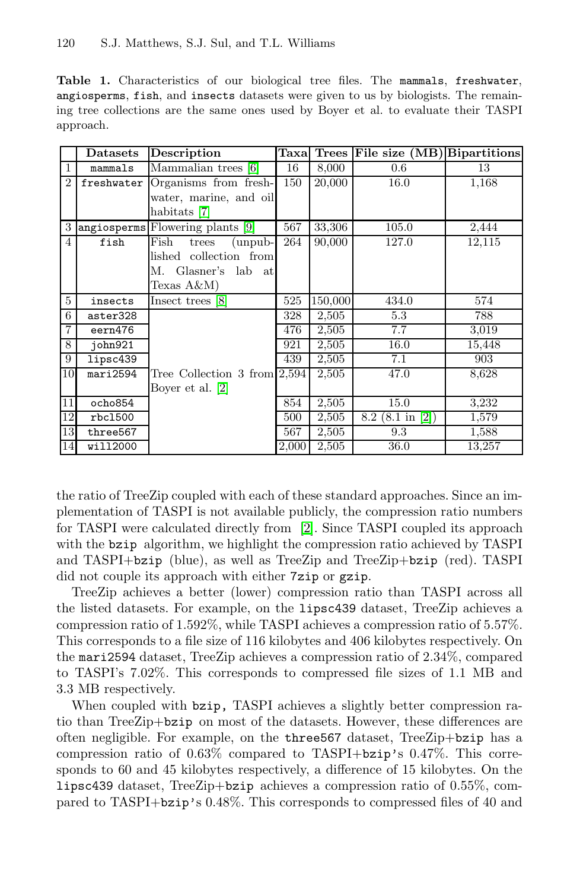#### 120 S.J. Matthews, S.J. Sul, and T.L. Williams

**Table 1.** Characteristics of our biological tree files. The mammals, freshwater, angiosperms, fish, and insects datasets were given to us by biologists. The remaining tree collections are the same ones used by Boyer et al. to evaluate their TASPI approach.

|                | Datasets   | Description                        | Taxa  | <b>Trees</b> | File size $(MB)$ Bipartitions  |        |
|----------------|------------|------------------------------------|-------|--------------|--------------------------------|--------|
| $\mathbf{1}$   | mammals    | Mammalian trees [6]                | 16    | 8,000        | 0.6                            | 13     |
| $\overline{2}$ | freshwater | Organisms from fresh-              | 150   | 20,000       | 16.0                           | 1,168  |
|                |            | water, marine, and oil             |       |              |                                |        |
|                |            | habitats [7]                       |       |              |                                |        |
| 3              |            | angiosperms Flowering plants $[9]$ | 567   | 33,306       | 105.0                          | 2,444  |
| $\overline{4}$ | fish       | Fish<br>(unpub-<br>trees           | 264   | 90,000       | 127.0                          | 12,115 |
|                |            | collection from<br>lished          |       |              |                                |        |
|                |            | Glasner's lab<br>М.<br>at          |       |              |                                |        |
|                |            | Texas A&M)                         |       |              |                                |        |
| 5              | insects    | Insect trees [8]                   | 525   | 150,000      | 434.0                          | 574    |
| 6              | aster328   |                                    | 328   | 2,505        | 5.3                            | 788    |
| 7              | eern476    |                                    | 476   | 2,505        | 7.7                            | 3,019  |
| 8              | john921    |                                    | 921   | 2,505        | 16.0                           | 15,448 |
| 9              | lipsc439   |                                    | 439   | 2,505        | 7.1                            | 903    |
| 10             | mari2594   | Tree Collection 3 from 2,594       |       | 2,505        | 47.0                           | 8,628  |
|                |            | Boyer et al. [2]                   |       |              |                                |        |
| 11             | ocho854    |                                    | 854   | 2,505        | 15.0                           | 3.232  |
| 12             | rbc1500    |                                    | 500   | 2,505        | $(8.1 \text{ in } [2])$<br>8.2 | 1,579  |
| 13             | three567   |                                    | 567   | 2,505        | 9.3                            | 1,588  |
| 14             | will2000   |                                    | 2,000 | 2,505        | 36.0                           | 13,257 |

the ratio of TreeZip coupled with each of these standard approaches. Since an implementation of TASPI is not available publicly, the compression ratio numbers for TASPI were calculated directly from [2]. Since TASPI coupled its approach with the bzip algorithm, we highlight the compression ratio achieved by TASPI and TASPI+bzip (blue), as well as TreeZip and TreeZip+bzip (red). TASPI did not couple its approach with either 7zip or gzip.

TreeZip achieves a better (lower) compression ratio than TASPI across all the listed datasets. For example, on the lipsc439 dataset, TreeZip achieves a compression ratio of 1*.*592%, while TASPI achieves a compression ratio of 5*.*57%. This corresponds to a file size of 116 kilobytes and 406 kilobytes respectively. On the mari2594 dataset, TreeZip achieves a compression ratio of 2*.*34%, compared to TASPI's 7*.*02%. This corresponds to compressed file sizes of 1.1 MB and 3.3 MB respectively.

When coupled with bzip, TASPI achieves a slightly better compression ratio than TreeZip+bzip on most of the datasets. However, these differences are often negligible. For example, on the three567 dataset, TreeZip+bzip has a compression ratio of 0*.*63% compared to TASPI+bzip's 0*.*47%. This corresponds to 60 and 45 kilobytes respectively, a difference of 15 kilobytes. On the lipsc439 dataset, TreeZip+bzip achieves a compression ratio of 0*.*55%, compared to TASPI+bzip's 0*.*48%. This corresponds to compressed files of 40 and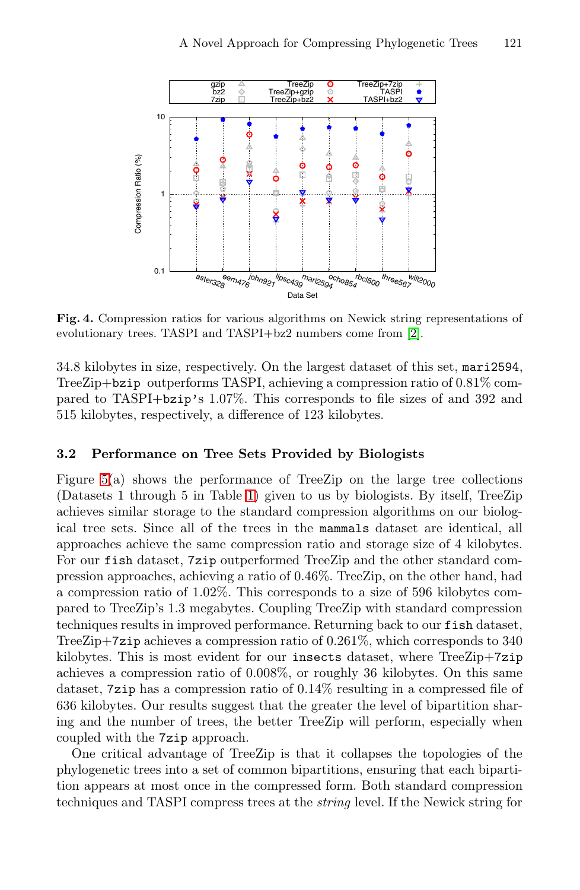

**Fig. 4.** Compression ratios for various algorithms on Newick string representations of evolutionary trees. TASPI and TASPI+bz2 numbers come from [2].

34*.*8 kilobytes in size, respectively. On the largest dataset of this set, mari2594, TreeZip+bzip outperforms TASPI, achieving a compression ratio of 0*.*81% compared to TASPI+bzip's 1*.*07%. This corresponds to file sizes of and 392 and 515 kilobytes, respectively, a difference of 123 kilobytes.

#### **3.2 Performance on Tree Sets Provided by Biologists**

Figure 5(a) shows the performance of TreeZip on the large tree collections (Datasets 1 through 5 in Table 1) given to us by biologists. By itself, TreeZip achieves similar storage to the standard compression algorithms on our biological tree sets. Since all of the trees in the mammals dataset are identical, all approaches achieve the same compression ratio and storage size of 4 kilobytes. For our fish dataset, 7zip outperformed TreeZip and the other standard compression approaches, achieving a ratio of 0*.*46%. TreeZip, on the other hand, had a compression ratio of 1*.*02%. This corresponds to a size of 596 kilobytes compared to TreeZip's 1*.*3 megabytes. Coupling TreeZip with standard compression techniques results in improved performance. Returning back to our fish dataset, TreeZip+7zip achieves a compression ratio of 0*.*261%, which corresponds to 340 kilobytes. This is most evident for our insects dataset, where TreeZip+7zip achieves a compression ratio of 0*.*008%, or roughly 36 kilobytes. On this same dataset, 7zip has a compression ratio of 0.14% resulting in a compressed file of 636 kilobytes. Our results suggest that the greater the level of bipartition sharing and the number of trees, the better TreeZip will perform, especially when coupled with the 7zip approach.

One critical advantage of TreeZip is that it collapses the topologies of the phylogenetic trees into a set of common bipartitions, ensuring that each bipartition appears at most once in the compressed form. Both standard compression techniques and TASPI compress trees at the *string* level. If the Newick string for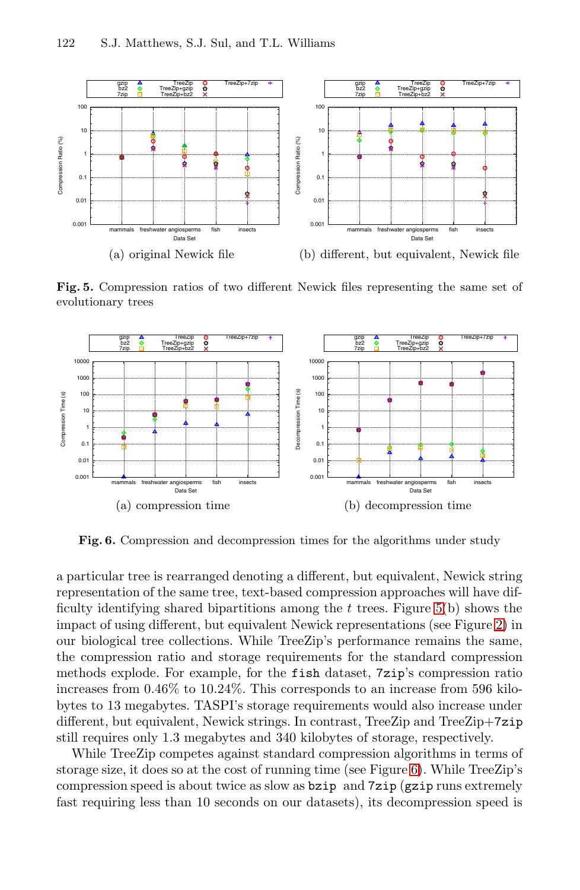

**Fig. 5.** Compression ratios of two different Newick files representing the same set of evolutionary trees



**Fig. 6.** Compression and decompression times for the algorithms under study

a particular tree is rearranged denoting a different, but equivalent, Newick string representation of the same tree, text-based compression approaches will have difficulty identifying shared bipartitions among the *t* trees. Figure 5(b) shows the impact of using different, but equivalent Newick representations (see Figure 2) in our biological tree collections. While TreeZip's performance remains the same, the compression ratio and storage requirements for the standard compression methods explode. For example, for the fish dataset, 7zip's compression ratio increases from 0*.*46% to 10*.*24%. This corresponds to an increase from 596 kilobytes to 13 megabytes. TASPI's storage requirements would also increase under different, but equivalent, Newick strings. In contrast, TreeZip and TreeZip+7zip still requires only 1*.*3 megabytes and 340 kilobytes of storage, respectively.

While TreeZip competes against standard compression algorithms in terms of storage size, it does so at the cost of running time (see Figure 6). While TreeZip's compression speed is about twice as slow as bzip and 7zip (gzip runs extremely fast requiring less than 10 seconds on our datasets), its decompression speed is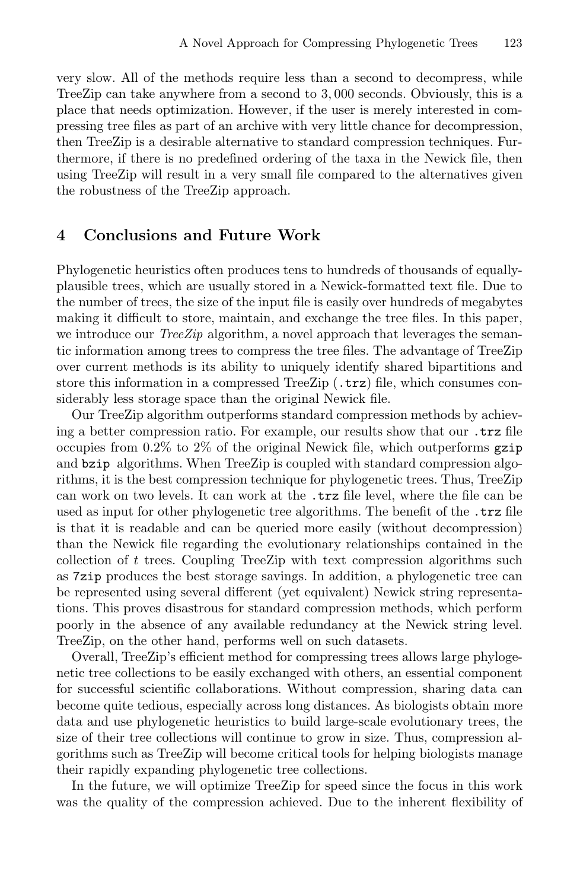very slow. All of the methods require less than a second to decompress, while TreeZip can take anywhere from a second to 3*,* 000 seconds. Obviously, this is a place that needs optimization. However, if the user is merely interested in compressing tree files as part of an archive with very little chance for decompression, then TreeZip is a desirable alternative to standard compression techniques. Furthermore, if there is no predefined ordering of the taxa in the Newick file, then using TreeZip will result in a very small file compared to the alternatives given the robustness of the TreeZip approach.

# **4 Conclusions and Future Work**

Phylogenetic heuristics often produces tens to hundreds of thousands of equallyplausible trees, which are usually stored in a Newick-formatted text file. Due to the number of trees, the size of the input file is easily over hundreds of megabytes making it difficult to store, maintain, and exchange the tree files. In this paper, we introduce our *TreeZip* algorithm, a novel approach that leverages the semantic information among trees to compress the tree files. The advantage of TreeZip over current methods is its ability to uniquely identify shared bipartitions and store this information in a compressed TreeZip (.trz) file, which consumes considerably less storage space than the original Newick file.

Our TreeZip algorithm outperforms standard compression methods by achieving a better compression ratio. For example, our results show that our .trz file occupies from  $0.2\%$  to  $2\%$  of the original Newick file, which outperforms gzip and bzip algorithms. When TreeZip is coupled with standard compression algorithms, it is the best compression technique for phylogenetic trees. Thus, TreeZip can work on two levels. It can work at the .trz file level, where the file can be used as input for other phylogenetic tree algorithms. The benefit of the .trz file is that it is readable and can be queried more easily (without decompression) than the Newick file regarding the evolutionary relationships contained in the collection of *t* trees. Coupling TreeZip with text compression algorithms such as 7zip produces the best storage savings. In addition, a phylogenetic tree can be represented using several different (yet equivalent) Newick string representations. This proves disastrous for standard compression methods, which perform poorly in the absence of any available redundancy at the Newick string level. TreeZip, on the other hand, performs well on such datasets.

Overall, TreeZip's efficient method for compressing trees allows large phylogenetic tree collections to be easily exchanged with others, an essential component for successful scientific collaborations. Without compression, sharing data can become quite tedious, especially across long distances. As biologists obtain more data and use phylogenetic heuristics to build large-scale evolutionary trees, the size of their tree collections will continue to grow in size. Thus, compression algorithms such as TreeZip will become critical tools for helping biologists manage their rapidly expanding phylogenetic tree collections.

In the future, we will optimize TreeZip for speed since the focus in this work was the quality of the compression achieved. Due to the inherent flexibility of